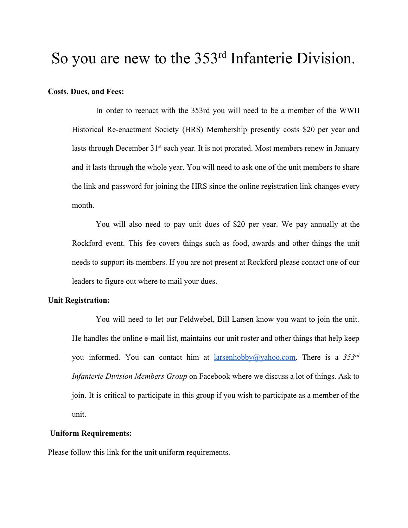# So you are new to the 353<sup>rd</sup> Infanterie Division.

# **Costs, Dues, and Fees:**

In order to reenact with the 353rd you will need to be a member of the WWII Historical Re-enactment Society (HRS) Membership presently costs \$20 per year and lasts through December  $31<sup>st</sup>$  each year. It is not prorated. Most members renew in January and it lasts through the whole year. You will need to ask one of the unit members to share the link and password for joining the HRS since the online registration link changes every month.

You will also need to pay unit dues of \$20 per year. We pay annually at the Rockford event. This fee covers things such as food, awards and other things the unit needs to support its members. If you are not present at Rockford please contact one of our leaders to figure out where to mail your dues.

## **Unit Registration:**

You will need to let our Feldwebel, Bill Larsen know you want to join the unit. He handles the online e-mail list, maintains our unit roster and other things that help keep you informed. You can contact him at [larsenhobby@yahoo.com.](mailto:larsenhobby@yahoo.com) There is a *353rd Infanterie Division Members Group* on Facebook where we discuss a lot of things. Ask to join. It is critical to participate in this group if you wish to participate as a member of the unit.

# **Uniform Requirements:**

Please follow this link for the unit uniform requirements.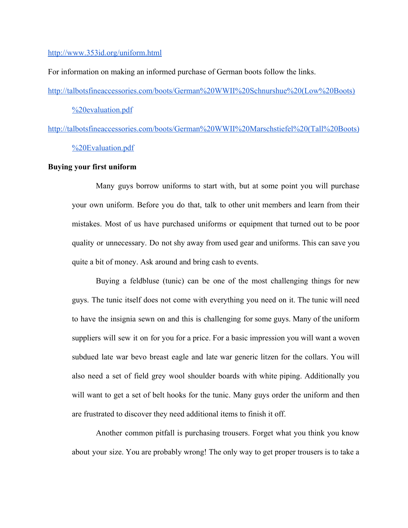## <http://www.353id.org/uniform.html>

For information on making an informed purchase of German boots follow the links.

[http://talbotsfineaccessories.com/boots/German%20WWII%20Schnurshue%20\(Low%20Boots\)](http://talbotsfineaccessories.com/boots/German%20WWII%20Schnurshue%20(Low%20Boots)%20evaluation.pdf)

[%20evaluation.pdf](http://talbotsfineaccessories.com/boots/German%20WWII%20Schnurshue%20(Low%20Boots)%20evaluation.pdf)

[http://talbotsfineaccessories.com/boots/German%20WWII%20Marschstiefel%20\(Tall%20Boots\)](http://talbotsfineaccessories.com/boots/German%20WWII%20Marschstiefel%20(Tall%20Boots)%20Evaluation.pdf) [%20Evaluation.pdf](http://talbotsfineaccessories.com/boots/German%20WWII%20Marschstiefel%20(Tall%20Boots)%20Evaluation.pdf)

# **Buying your first uniform**

Many guys borrow uniforms to start with, but at some point you will purchase your own uniform. Before you do that, talk to other unit members and learn from their mistakes. Most of us have purchased uniforms or equipment that turned out to be poor quality or unnecessary. Do not shy away from used gear and uniforms. This can save you quite a bit of money. Ask around and bring cash to events.

Buying a feldbluse (tunic) can be one of the most challenging things for new guys. The tunic itself does not come with everything you need on it. The tunic will need to have the insignia sewn on and this is challenging for some guys. Many of the uniform suppliers will sew it on for you for a price. For a basic impression you will want a woven subdued late war bevo breast eagle and late war generic litzen for the collars. You will also need a set of field grey wool shoulder boards with white piping. Additionally you will want to get a set of belt hooks for the tunic. Many guys order the uniform and then are frustrated to discover they need additional items to finish it off.

Another common pitfall is purchasing trousers. Forget what you think you know about your size. You are probably wrong! The only way to get proper trousers is to take a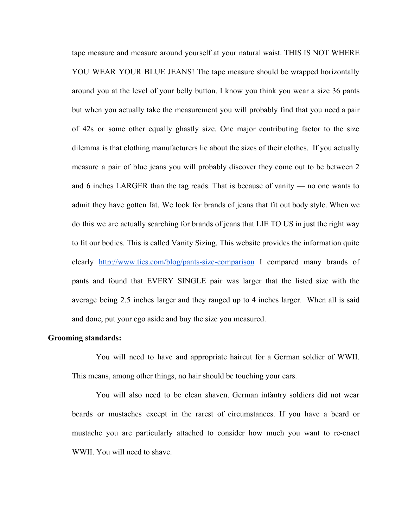tape measure and measure around yourself at your natural waist. THIS IS NOT WHERE YOU WEAR YOUR BLUE JEANS! The tape measure should be wrapped horizontally around you at the level of your belly button. I know you think you wear a size 36 pants but when you actually take the measurement you will probably find that you need a pair of 42s or some other equally ghastly size. One major contributing factor to the size dilemma is that clothing manufacturers lie about the sizes of their clothes. If you actually measure a pair of blue jeans you will probably discover they come out to be between 2 and 6 inches LARGER than the tag reads. That is because of vanity — no one wants to admit they have gotten fat. We look for brands of jeans that fit out body style. When we do this we are actually searching for brands of jeans that LIE TO US in just the right way to fit our bodies. This is called Vanity Sizing. This website provides the information quite clearly <http://www.ties.com/blog/pants-size-comparison> I compared many brands of pants and found that EVERY SINGLE pair was larger that the listed size with the average being 2.5 inches larger and they ranged up to 4 inches larger. When all is said and done, put your ego aside and buy the size you measured.

## **Grooming standards:**

You will need to have and appropriate haircut for a German soldier of WWII. This means, among other things, no hair should be touching your ears.

You will also need to be clean shaven. German infantry soldiers did not wear beards or mustaches except in the rarest of circumstances. If you have a beard or mustache you are particularly attached to consider how much you want to re-enact WWII. You will need to shave.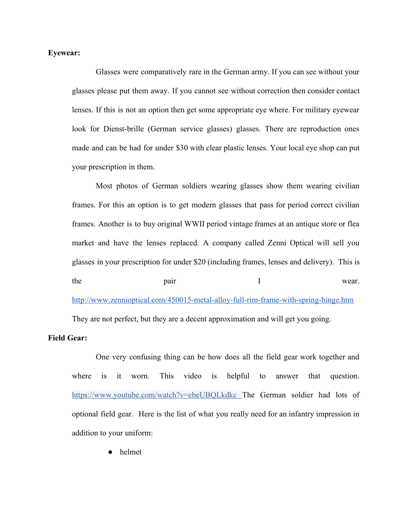# **Eyewear:**

Glasses were comparatively rare in the German army. If you can see without your glasses please put them away. If you cannot see without correction then consider contact lenses. If this is not an option then get some appropriate eye where. For military eyewear look for Dienst-brille (German service glasses) glasses. There are reproduction ones made and can be had for under \$30 with clear plastic lenses. Your local eye shop can put your prescription in them.

Most photos of German soldiers wearing glasses show them wearing civilian frames. For this an option is to get modern glasses that pass for period correct civilian frames. Another is to buy original WWII period vintage frames at an antique store or flea market and have the lenses replaced. A company called Zenni Optical will sell you glasses in your prescription for under \$20 (including frames, lenses and delivery). This is the pair and  $\mu$  pair I wear. [http://www.zennioptical.com/450015-metal-alloy-full-rim-frame-with-spring-hinge.htm](http://www.zennioptical.com/450015-metal-alloy-full-rim-frame-with-spring-hinge.html)

They are not perfect, but they are a decent approximation and will get you going.

# **Field Gear:**

One very confusing thing can be how does all the field gear work together and where is it worn. This video is helpful to answer that question[.](https://www.youtube.com/watch?v=ebeUBQLkdkc) <https://www.youtube.com/watch?v=ebeUBQLkdkc> The German soldier had lots of optional field gear. Here is the list of what you really need for an infantry impression in addition to your uniform:

helmet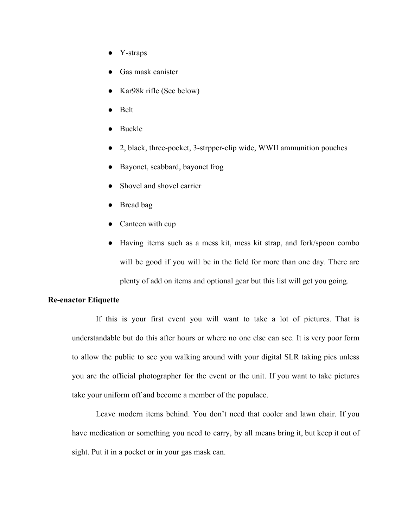- Y-straps
- Gas mask canister
- Kar98k rifle (See below)
- **Belt**
- Buckle
- 2, black, three-pocket, 3-strpper-clip wide, WWII ammunition pouches
- Bayonet, scabbard, bayonet frog
- Shovel and shovel carrier
- Bread bag
- Canteen with cup
- Having items such as a mess kit, mess kit strap, and fork/spoon combo will be good if you will be in the field for more than one day. There are plenty of add on items and optional gear but this list will get you going.

# **Re-enactor Etiquette**

If this is your first event you will want to take a lot of pictures. That is understandable but do this after hours or where no one else can see. It is very poor form to allow the public to see you walking around with your digital SLR taking pics unless you are the official photographer for the event or the unit. If you want to take pictures take your uniform off and become a member of the populace.

Leave modern items behind. You don't need that cooler and lawn chair. If you have medication or something you need to carry, by all means bring it, but keep it out of sight. Put it in a pocket or in your gas mask can.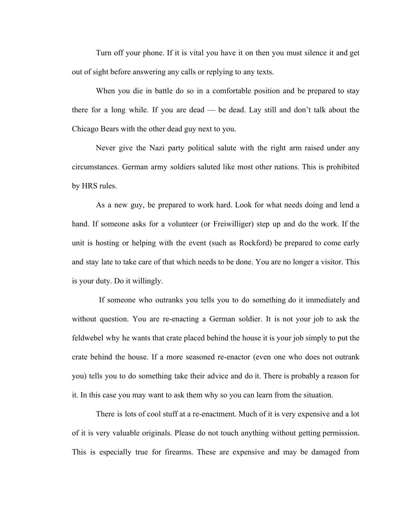Turn off your phone. If it is vital you have it on then you must silence it and get out of sight before answering any calls or replying to any texts.

When you die in battle do so in a comfortable position and be prepared to stay there for a long while. If you are dead — be dead. Lay still and don't talk about the Chicago Bears with the other dead guy next to you.

Never give the Nazi party political salute with the right arm raised under any circumstances. German army soldiers saluted like most other nations. This is prohibited by HRS rules.

As a new guy, be prepared to work hard. Look for what needs doing and lend a hand. If someone asks for a volunteer (or Freiwilliger) step up and do the work. If the unit is hosting or helping with the event (such as Rockford) be prepared to come early and stay late to take care of that which needs to be done. You are no longer a visitor. This is your duty. Do it willingly.

If someone who outranks you tells you to do something do it immediately and without question. You are re-enacting a German soldier. It is not your job to ask the feldwebel why he wants that crate placed behind the house it is your job simply to put the crate behind the house. If a more seasoned re-enactor (even one who does not outrank you) tells you to do something take their advice and do it. There is probably a reason for it. In this case you may want to ask them why so you can learn from the situation.

There is lots of cool stuff at a re-enactment. Much of it is very expensive and a lot of it is very valuable originals. Please do not touch anything without getting permission. This is especially true for firearms. These are expensive and may be damaged from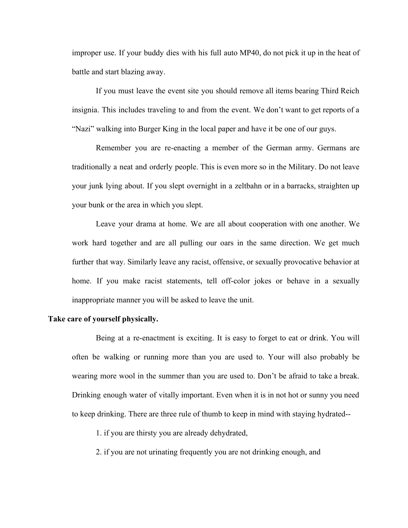improper use. If your buddy dies with his full auto MP40, do not pick it up in the heat of battle and start blazing away.

If you must leave the event site you should remove all items bearing Third Reich insignia. This includes traveling to and from the event. We don't want to get reports of a "Nazi" walking into Burger King in the local paper and have it be one of our guys.

Remember you are re-enacting a member of the German army. Germans are traditionally a neat and orderly people. This is even more so in the Military. Do not leave your junk lying about. If you slept overnight in a zeltbahn or in a barracks, straighten up your bunk or the area in which you slept.

Leave your drama at home. We are all about cooperation with one another. We work hard together and are all pulling our oars in the same direction. We get much further that way. Similarly leave any racist, offensive, or sexually provocative behavior at home. If you make racist statements, tell off-color jokes or behave in a sexually inappropriate manner you will be asked to leave the unit.

### **Take care of yourself physically.**

Being at a re-enactment is exciting. It is easy to forget to eat or drink. You will often be walking or running more than you are used to. Your will also probably be wearing more wool in the summer than you are used to. Don't be afraid to take a break. Drinking enough water of vitally important. Even when it is in not hot or sunny you need to keep drinking. There are three rule of thumb to keep in mind with staying hydrated--

1. if you are thirsty you are already dehydrated,

2. if you are not urinating frequently you are not drinking enough, and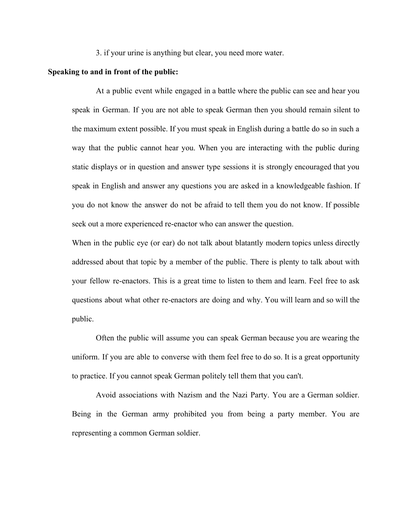3. if your urine is anything but clear, you need more water.

## **Speaking to and in front of the public:**

At a public event while engaged in a battle where the public can see and hear you speak in German. If you are not able to speak German then you should remain silent to the maximum extent possible. If you must speak in English during a battle do so in such a way that the public cannot hear you. When you are interacting with the public during static displays or in question and answer type sessions it is strongly encouraged that you speak in English and answer any questions you are asked in a knowledgeable fashion. If you do not know the answer do not be afraid to tell them you do not know. If possible seek out a more experienced re-enactor who can answer the question.

When in the public eye (or ear) do not talk about blatantly modern topics unless directly addressed about that topic by a member of the public. There is plenty to talk about with your fellow re-enactors. This is a great time to listen to them and learn. Feel free to ask questions about what other re-enactors are doing and why. You will learn and so will the public.

Often the public will assume you can speak German because you are wearing the uniform. If you are able to converse with them feel free to do so. It is a great opportunity to practice. If you cannot speak German politely tell them that you can't.

Avoid associations with Nazism and the Nazi Party. You are a German soldier. Being in the German army prohibited you from being a party member. You are representing a common German soldier.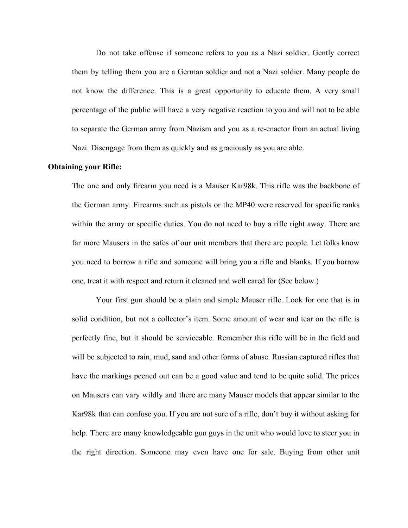Do not take offense if someone refers to you as a Nazi soldier. Gently correct them by telling them you are a German soldier and not a Nazi soldier. Many people do not know the difference. This is a great opportunity to educate them. A very small percentage of the public will have a very negative reaction to you and will not to be able to separate the German army from Nazism and you as a re-enactor from an actual living Nazi. Disengage from them as quickly and as graciously as you are able.

## **Obtaining your Rifle:**

The one and only firearm you need is a Mauser Kar98k. This rifle was the backbone of the German army. Firearms such as pistols or the MP40 were reserved for specific ranks within the army or specific duties. You do not need to buy a rifle right away. There are far more Mausers in the safes of our unit members that there are people. Let folks know you need to borrow a rifle and someone will bring you a rifle and blanks. If you borrow one, treat it with respect and return it cleaned and well cared for (See below.)

Your first gun should be a plain and simple Mauser rifle. Look for one that is in solid condition, but not a collector's item. Some amount of wear and tear on the rifle is perfectly fine, but it should be serviceable. Remember this rifle will be in the field and will be subjected to rain, mud, sand and other forms of abuse. Russian captured rifles that have the markings peened out can be a good value and tend to be quite solid. The prices on Mausers can vary wildly and there are many Mauser models that appear similar to the Kar98k that can confuse you. If you are not sure of a rifle, don't buy it without asking for help. There are many knowledgeable gun guys in the unit who would love to steer you in the right direction. Someone may even have one for sale. Buying from other unit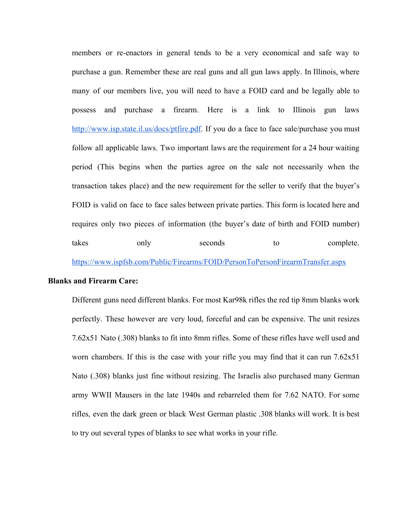members or re-enactors in general tends to be a very economical and safe way to purchase a gun. Remember these are real guns and all gun laws apply. In Illinois, where many of our members live, you will need to have a FOID card and be legally able to possess and purchase a firearm. Here is a link to Illinois gun laws [http://www.isp.state.il.us/docs/ptfire.pdf.](http://www.isp.state.il.us/docs/ptfire.pdf) If you do a face to face sale/purchase you must follow all applicable laws. Two important laws are the requirement for a 24 hour waiting period (This begins when the parties agree on the sale not necessarily when the transaction takes place) and the new requirement for the seller to verify that the buyer's FOID is valid on face to face sales between private parties. This form is located here and requires only two pieces of information (the buyer's date of birth and FOID number) takes only seconds to complete.

<https://www.ispfsb.com/Public/Firearms/FOID/PersonToPersonFirearmTransfer.aspx>

# **Blanks and Firearm Care:**

Different guns need different blanks. For most Kar98k rifles the red tip 8mm blanks work perfectly. These however are very loud, forceful and can be expensive. The unit resizes 7.62x51 Nato (.308) blanks to fit into 8mm rifles. Some of these rifles have well used and worn chambers. If this is the case with your rifle you may find that it can run 7.62x51 Nato (.308) blanks just fine without resizing. The Israelis also purchased many German army WWII Mausers in the late 1940s and rebarreled them for 7.62 NATO. For some rifles, even the dark green or black West German plastic .308 blanks will work. It is best to try out several types of blanks to see what works in your rifle.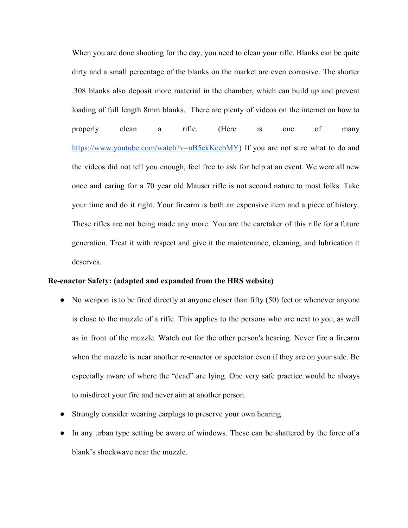When you are done shooting for the day, you need to clean your rifle. Blanks can be quite dirty and a small percentage of the blanks on the market are even corrosive. The shorter .308 blanks also deposit more material in the chamber, which can build up and prevent loading of full length 8mm blanks. There are plenty of videos on the internet on how to properly clean a rifle. (Here is one of many <https://www.youtube.com/watch?v=nB5ckKcebMY>) If you are not sure what to do and the videos did not tell you enough, feel free to ask for help at an event. We were all new once and caring for a 70 year old Mauser rifle is not second nature to most folks. Take your time and do it right. Your firearm is both an expensive item and a piece of history. These rifles are not being made any more. You are the caretaker of this rifle for a future generation. Treat it with respect and give it the maintenance, cleaning, and lubrication it deserves.

## **Re-enactor Safety: (adapted and expanded from the HRS website)**

- No weapon is to be fired directly at anyone closer than fifty (50) feet or whenever anyone is close to the muzzle of a rifle. This applies to the persons who are next to you, as well as in front of the muzzle. Watch out for the other person's hearing. Never fire a firearm when the muzzle is near another re-enactor or spectator even if they are on your side. Be especially aware of where the "dead" are lying. One very safe practice would be always to misdirect your fire and never aim at another person.
- Strongly consider wearing earplugs to preserve your own hearing.
- In any urban type setting be aware of windows. These can be shattered by the force of a blank's shockwave near the muzzle.